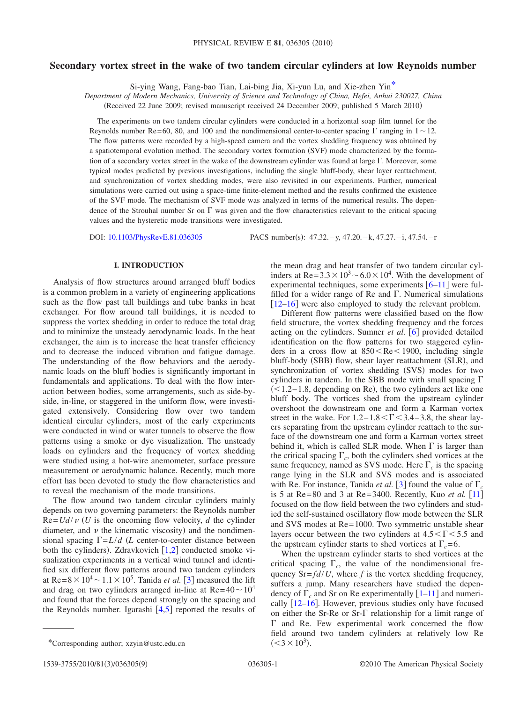# **Secondary vortex street in the wake of two tandem circular cylinders at low Reynolds number**

Si-ying Wang, Fang-bao Tian, Lai-bing Jia, Xi-yun Lu, and Xie-zhen Yi[n\\*](#page-0-0)

*Department of Modern Mechanics, University of Science and Technology of China, Hefei, Anhui 230027, China*

(Received 22 June 2009; revised manuscript received 24 December 2009; published 5 March 2010)

The experiments on two tandem circular cylinders were conducted in a horizontal soap film tunnel for the Reynolds number Re=60, 80, and 100 and the nondimensional center-to-center spacing  $\Gamma$  ranging in  $1 \sim 12$ . The flow patterns were recorded by a high-speed camera and the vortex shedding frequency was obtained by a spatiotemporal evolution method. The secondary vortex formation (SVF) mode characterized by the formation of a secondary vortex street in the wake of the downstream cylinder was found at large  $\Gamma$ . Moreover, some typical modes predicted by previous investigations, including the single bluff-body, shear layer reattachment, and synchronization of vortex shedding modes, were also revisited in our experiments. Further, numerical simulations were carried out using a space-time finite-element method and the results confirmed the existence of the SVF mode. The mechanism of SVF mode was analyzed in terms of the numerical results. The dependence of the Strouhal number Sr on  $\Gamma$  was given and the flow characteristics relevant to the critical spacing values and the hysteretic mode transitions were investigated.

DOI: [10.1103/PhysRevE.81.036305](http://dx.doi.org/10.1103/PhysRevE.81.036305)

:  $47.32 - y$ ,  $47.20 - k$ ,  $47.27 - i$ ,  $47.54 - r$ 

### **I. INTRODUCTION**

Analysis of flow structures around arranged bluff bodies is a common problem in a variety of engineering applications such as the flow past tall buildings and tube banks in heat exchanger. For flow around tall buildings, it is needed to suppress the vortex shedding in order to reduce the total drag and to minimize the unsteady aerodynamic loads. In the heat exchanger, the aim is to increase the heat transfer efficiency and to decrease the induced vibration and fatigue damage. The understanding of the flow behaviors and the aerodynamic loads on the bluff bodies is significantly important in fundamentals and applications. To deal with the flow interaction between bodies, some arrangements, such as side-byside, in-line, or staggered in the uniform flow, were investigated extensively. Considering flow over two tandem identical circular cylinders, most of the early experiments were conducted in wind or water tunnels to observe the flow patterns using a smoke or dye visualization. The unsteady loads on cylinders and the frequency of vortex shedding were studied using a hot-wire anemometer, surface pressure measurement or aerodynamic balance. Recently, much more effort has been devoted to study the flow characteristics and to reveal the mechanism of the mode transitions.

The flow around two tandem circular cylinders mainly depends on two governing parameters: the Reynolds number  $Re=Ud/\nu$  (*U* is the oncoming flow velocity, *d* the cylinder diameter, and  $\nu$  the kinematic viscosity) and the nondimensional spacing  $\Gamma = L/d$  *(L* center-to-center distance between both the cylinders). Zdravkovich  $[1,2]$  $[1,2]$  $[1,2]$  $[1,2]$  conducted smoke visualization experiments in a vertical wind tunnel and identified six different flow patterns around two tandem cylinders at Re= $8 \times 10^4 \sim 1.1 \times 10^5$ . Tanida *et al.* [[3](#page-7-2)] measured the lift and drag on two cylinders arranged in-line at  $Re = 40 \sim 10^4$ and found that the forces depend strongly on the spacing and the Reynolds number. Igarashi  $\lceil 4, 5 \rceil$  $\lceil 4, 5 \rceil$  $\lceil 4, 5 \rceil$  reported the results of the mean drag and heat transfer of two tandem circular cylinders at Re= $3.3 \times 10^3$  ~  $6.0 \times 10^4$ . With the development of experimental techniques, some experiments  $\lceil 6-11 \rceil$  $\lceil 6-11 \rceil$  $\lceil 6-11 \rceil$  were fulfilled for a wider range of Re and  $\Gamma$ . Numerical simulations  $[12–16]$  $[12–16]$  $[12–16]$  $[12–16]$  were also employed to study the relevant problem.

Different flow patterns were classified based on the flow field structure, the vortex shedding frequency and the forces acting on the cylinders. Sumner *et al.* [[6](#page-7-5)] provided detailed identification on the flow patterns for two staggered cylinders in a cross flow at  $850 < Re < 1900$ , including single bluff-body (SBB) flow, shear layer reattachment (SLR), and synchronization of vortex shedding (SVS) modes for two cylinders in tandem. In the SBB mode with small spacing  $\Gamma$  $(<1.2-1.8$ , depending on Re), the two cylinders act like one bluff body. The vortices shed from the upstream cylinder overshoot the downstream one and form a Karman vortex street in the wake. For  $1.2-1.8\leq \Gamma \leq 3.4-3.8$ , the shear layers separating from the upstream cylinder reattach to the surface of the downstream one and form a Karman vortex street behind it, which is called SLR mode. When  $\Gamma$  is larger than the critical spacing  $\Gamma_c$ , both the cylinders shed vortices at the same frequency, named as SVS mode. Here  $\Gamma_c$  is the spacing range lying in the SLR and SVS modes and is associated with Re. For instance, Tanida *et al.* [[3](#page-7-2)] found the value of  $\Gamma_c$ is 5 at Re= $80$  and 3 at Re= $3400$ . Recently, Kuo *et al.* [[11](#page-7-6)] focused on the flow field between the two cylinders and studied the self-sustained oscillatory flow mode between the SLR and SVS modes at Re= 1000. Two symmetric unstable shear layers occur between the two cylinders at  $4.5<\Gamma<5.5$  and the upstream cylinder starts to shed vortices at  $\Gamma_c$ =6.

When the upstream cylinder starts to shed vortices at the critical spacing  $\Gamma_c$ , the value of the nondimensional frequency  $Sr = f d/U$ , where *f* is the vortex shedding frequency, suffers a jump. Many researchers have studied the dependency of  $\Gamma_c$  and Sr on Re experimentally  $[1-11]$  $[1-11]$  $[1-11]$  and numerically  $[12-16]$  $[12-16]$  $[12-16]$ . However, previous studies only have focused on either the Sr-Re or Sr- $\Gamma$  relationship for a limit range of  $\Gamma$  and Re. Few experimental work concerned the flow field around two tandem cylinders at relatively low Re  $(<\frac{3}{8} \times 10^3$ ).

<span id="page-0-0"></span><sup>3</sup>10<sup>3</sup> \*Corresponding author; xzyin@ustc.edu.cn -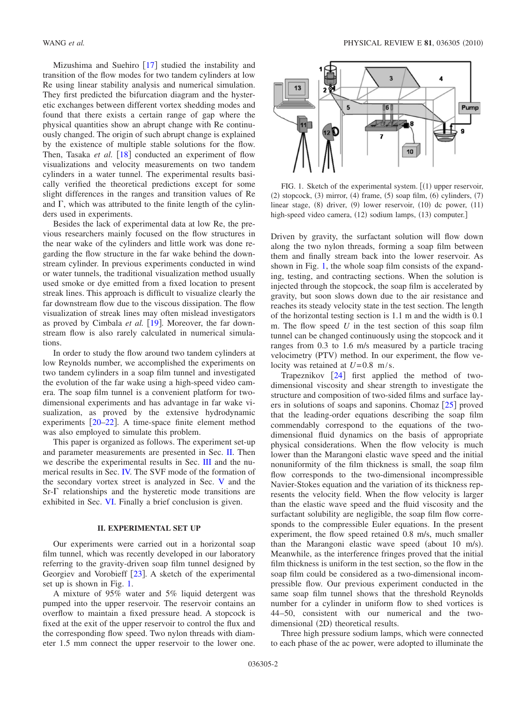Mizushima and Suehiro  $[17]$  $[17]$  $[17]$  studied the instability and transition of the flow modes for two tandem cylinders at low Re using linear stability analysis and numerical simulation. They first predicted the bifurcation diagram and the hysteretic exchanges between different vortex shedding modes and found that there exists a certain range of gap where the physical quantities show an abrupt change with Re continuously changed. The origin of such abrupt change is explained by the existence of multiple stable solutions for the flow. Then, Tasaka *et al.* [[18](#page-7-10)] conducted an experiment of flow visualizations and velocity measurements on two tandem cylinders in a water tunnel. The experimental results basically verified the theoretical predictions except for some slight differences in the ranges and transition values of Re and  $\Gamma$ , which was attributed to the finite length of the cylinders used in experiments.

Besides the lack of experimental data at low Re, the previous researchers mainly focused on the flow structures in the near wake of the cylinders and little work was done regarding the flow structure in the far wake behind the downstream cylinder. In previous experiments conducted in wind or water tunnels, the traditional visualization method usually used smoke or dye emitted from a fixed location to present streak lines. This approach is difficult to visualize clearly the far downstream flow due to the viscous dissipation. The flow visualization of streak lines may often mislead investigators as proved by Cimbala *et al.* [[19](#page-7-11)]. Moreover, the far downstream flow is also rarely calculated in numerical simulations.

In order to study the flow around two tandem cylinders at low Reynolds number, we accomplished the experiments on two tandem cylinders in a soap film tunnel and investigated the evolution of the far wake using a high-speed video camera. The soap film tunnel is a convenient platform for twodimensional experiments and has advantage in far wake visualization, as proved by the extensive hydrodynamic experiments  $[20-22]$  $[20-22]$  $[20-22]$ . A time-space finite element method was also employed to simulate this problem.

This paper is organized as follows. The experiment set-up and parameter measurements are presented in Sec. [II.](#page-1-0) Then we describe the experimental results in Sec. [III](#page-2-0) and the numerical results in Sec. [IV.](#page-3-0) The SVF mode of the formation of the secondary vortex street is analyzed in Sec. [V](#page-4-0) and the  $Sr-T$  relationships and the hysteretic mode transitions are exhibited in Sec. [VI.](#page-5-0) Finally a brief conclusion is given.

#### **II. EXPERIMENTAL SET UP**

<span id="page-1-0"></span>Our experiments were carried out in a horizontal soap film tunnel, which was recently developed in our laboratory referring to the gravity-driven soap film tunnel designed by Georgiev and Vorobieff  $[23]$  $[23]$  $[23]$ . A sketch of the experimental set up is shown in Fig. [1.](#page-1-1)

A mixture of 95% water and 5% liquid detergent was pumped into the upper reservoir. The reservoir contains an overflow to maintain a fixed pressure head. A stopcock is fixed at the exit of the upper reservoir to control the flux and the corresponding flow speed. Two nylon threads with diameter 1.5 mm connect the upper reservoir to the lower one.

<span id="page-1-1"></span>

FIG. 1. Sketch of the experimental system.  $[(1)$  upper reservoir,  $(2)$  stopcock,  $(3)$  mirror,  $(4)$  frame,  $(5)$  soap film,  $(6)$  cylinders,  $(7)$ linear stage, (8) driver, (9) lower reservoir, (10) dc power, (11) high-speed video camera, (12) sodium lamps, (13) computer.]

Driven by gravity, the surfactant solution will flow down along the two nylon threads, forming a soap film between them and finally stream back into the lower reservoir. As shown in Fig. [1,](#page-1-1) the whole soap film consists of the expanding, testing, and contracting sections. When the solution is injected through the stopcock, the soap film is accelerated by gravity, but soon slows down due to the air resistance and reaches its steady velocity state in the test section. The length of the horizontal testing section is 1.1 m and the width is 0.1 m. The flow speed *U* in the test section of this soap film tunnel can be changed continuously using the stopcock and it ranges from 0.3 to 1.6 m/s measured by a particle tracing velocimetry (PTV) method. In our experiment, the flow velocity was retained at  $U=0.8$  m/s.

Trapeznikov  $\begin{bmatrix} 24 \end{bmatrix}$  $\begin{bmatrix} 24 \end{bmatrix}$  $\begin{bmatrix} 24 \end{bmatrix}$  first applied the method of twodimensional viscosity and shear strength to investigate the structure and composition of two-sided films and surface layers in solutions of soaps and saponins. Chomaz  $[25]$  $[25]$  $[25]$  proved that the leading-order equations describing the soap film commendably correspond to the equations of the twodimensional fluid dynamics on the basis of appropriate physical considerations. When the flow velocity is much lower than the Marangoni elastic wave speed and the initial nonuniformity of the film thickness is small, the soap film flow corresponds to the two-dimensional incompressible Navier-Stokes equation and the variation of its thickness represents the velocity field. When the flow velocity is larger than the elastic wave speed and the fluid viscosity and the surfactant solubility are negligible, the soap film flow corresponds to the compressible Euler equations. In the present experiment, the flow speed retained 0.8 m/s, much smaller than the Marangoni elastic wave speed (about 10 m/s). Meanwhile, as the interference fringes proved that the initial film thickness is uniform in the test section, so the flow in the soap film could be considered as a two-dimensional incompressible flow. Our previous experiment conducted in the same soap film tunnel shows that the threshold Reynolds number for a cylinder in uniform flow to shed vortices is 44–50, consistent with our numerical and the twodimensional (2D) theoretical results.

Three high pressure sodium lamps, which were connected to each phase of the ac power, were adopted to illuminate the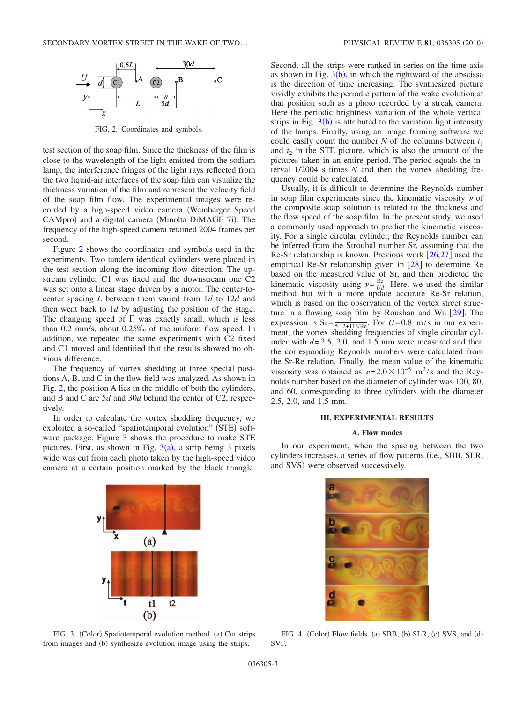<span id="page-2-1"></span>

FIG. 2. Coordinates and symbols.

test section of the soap film. Since the thickness of the film is close to the wavelength of the light emitted from the sodium lamp, the interference fringes of the light rays reflected from the two liquid-air interfaces of the soap film can visualize the thickness variation of the film and represent the velocity field of the soap film flow. The experimental images were recorded by a high-speed video camera Weinberger Speed CAMpro) and a digital camera (Minolta DiMAGE 7i). The frequency of the high-speed camera retained 2004 frames per second.

Figure [2](#page-2-1) shows the coordinates and symbols used in the experiments. Two tandem identical cylinders were placed in the test section along the incoming flow direction. The upstream cylinder C1 was fixed and the downstream one C2 was set onto a linear stage driven by a motor. The center-tocenter spacing *L* between them varied from 1*d* to 12*d* and then went back to 1*d* by adjusting the position of the stage. The changing speed of  $\Gamma$  was exactly small, which is less than 0.2 mm/s, about 0.25‰ of the uniform flow speed. In addition, we repeated the same experiments with C2 fixed and C1 moved and identified that the results showed no obvious difference.

The frequency of vortex shedding at three special positions A, B, and C in the flow field was analyzed. As shown in Fig. [2,](#page-2-1) the position A lies in the middle of both the cylinders, and B and C are 5*d* and 30*d* behind the center of C2, respectively.

In order to calculate the vortex shedding frequency, we exploited a so-called "spatiotemporal evolution" (STE) software package. Figure [3](#page-2-2) shows the procedure to make STE pictures. First, as shown in Fig.  $3(a)$  $3(a)$ , a strip being 3 pixels wide was cut from each photo taken by the high-speed video camera at a certain position marked by the black triangle.

Second, all the strips were ranked in series on the time axis as shown in Fig.  $3(b)$  $3(b)$ , in which the rightward of the abscissa is the direction of time increasing. The synthesized picture vividly exhibits the periodic pattern of the wake evolution at that position such as a photo recorded by a streak camera. Here the periodic brightness variation of the whole vertical strips in Fig.  $3(b)$  $3(b)$  is attributed to the variation light intensity of the lamps. Finally, using an image framing software we could easily count the number  $N$  of the columns between  $t_1$ and  $t_2$  in the STE picture, which is also the amount of the pictures taken in an entire period. The period equals the interval 1/2004 s times *N* and then the vortex shedding frequency could be calculated.

Usually, it is difficult to determine the Reynolds number in soap film experiments since the kinematic viscosity  $\nu$  of the composite soap solution is related to the thickness and the flow speed of the soap film. In the present study, we used a commonly used approach to predict the kinematic viscosity. For a single circular cylinder, the Reynolds number can be inferred from the Strouhal number Sr, assuming that the Re-Sr relationship is known. Previous work  $\left[26,27\right]$  $\left[26,27\right]$  $\left[26,27\right]$  $\left[26,27\right]$  used the empirical Re-Sr relationship given in  $[28]$  $[28]$  $[28]$  to determine Re based on the measured value of Sr, and then predicted the kinematic viscosity using  $\nu = \frac{Re}{Ud}$ . Here, we used the similar method but with a more update accurate Re-Sr relation, which is based on the observation of the vortex street structure in a flowing soap film by Roushan and Wu  $[29]$  $[29]$  $[29]$ . The expression is  $Sr = \frac{1}{5.12+113/Re}$ . For  $U=0.8$  m/s in our experiment, the vortex shedding frequencies of single circular cylinder with  $d = 2.5$ , 2.0, and 1.5 mm were measured and then the corresponding Reynolds numbers were calculated from the Sr-Re relation. Finally, the mean value of the kinematic viscosity was obtained as  $\nu = 2.0 \times 10^{-5}$  m<sup>2</sup>/s and the Reynolds number based on the diameter of cylinder was 100, 80, and 60, corresponding to three cylinders with the diameter 2.5, 2.0, and 1.5 mm.

## **III. EXPERIMENTAL RESULTS**

#### **A. Flow modes**

<span id="page-2-3"></span><span id="page-2-0"></span>In our experiment, when the spacing between the two cylinders increases, a series of flow patterns (i.e., SBB, SLR, and SVS) were observed successively.

<span id="page-2-2"></span>

FIG. 3. (Color) Spatiotemporal evolution method. (a) Cut strips from images and (b) synthesize evolution image using the strips.



FIG. 4. (Color) Flow fields. (a) SBB, (b) SLR, (c) SVS, and (d) SVF.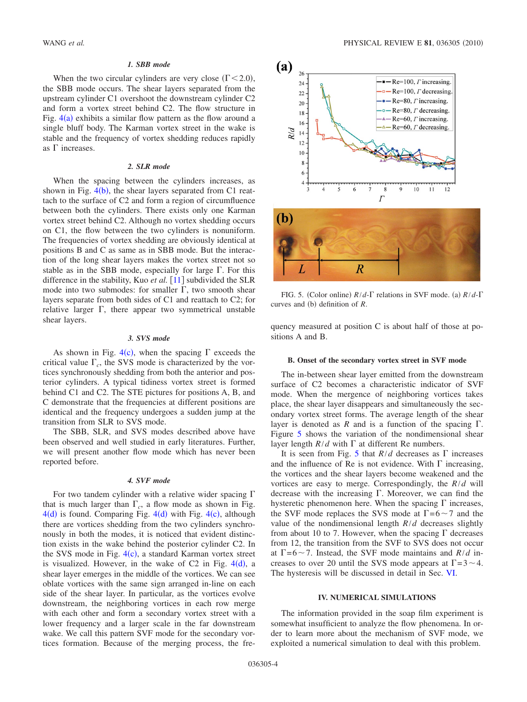## *1. SBB mode*

When the two circular cylinders are very close  $(\Gamma < 2.0)$ , the SBB mode occurs. The shear layers separated from the upstream cylinder C1 overshoot the downstream cylinder C2 and form a vortex street behind C2. The flow structure in Fig.  $4(a)$  $4(a)$  exhibits a similar flow pattern as the flow around a single bluff body. The Karman vortex street in the wake is stable and the frequency of vortex shedding reduces rapidly as  $\Gamma$  increases.

#### *2. SLR mode*

When the spacing between the cylinders increases, as shown in Fig.  $4(b)$  $4(b)$ , the shear layers separated from C1 reattach to the surface of C2 and form a region of circumfluence between both the cylinders. There exists only one Karman vortex street behind C2. Although no vortex shedding occurs on C1, the flow between the two cylinders is nonuniform. The frequencies of vortex shedding are obviously identical at positions B and C as same as in SBB mode. But the interaction of the long shear layers makes the vortex street not so stable as in the SBB mode, especially for large  $\Gamma$ . For this difference in the stability, Kuo *et al.* [[11](#page-7-6)] subdivided the SLR mode into two submodes: for smaller  $\Gamma$ , two smooth shear layers separate from both sides of C1 and reattach to C2; for relative larger  $\Gamma$ , there appear two symmetrical unstable shear layers.

### *3. SVS mode*

As shown in Fig. [4](#page-2-3)(c), when the spacing  $\Gamma$  exceeds the critical value  $\Gamma_c$ , the SVS mode is characterized by the vortices synchronously shedding from both the anterior and posterior cylinders. A typical tidiness vortex street is formed behind C1 and C2. The STE pictures for positions A, B, and C demonstrate that the frequencies at different positions are identical and the frequency undergoes a sudden jump at the transition from SLR to SVS mode.

The SBB, SLR, and SVS modes described above have been observed and well studied in early literatures. Further, we will present another flow mode which has never been reported before.

#### *4. SVF mode*

For two tandem cylinder with a relative wider spacing  $\Gamma$ that is much larger than  $\Gamma_c$ , a flow mode as shown in Fig.  $4(d)$  $4(d)$  is found. Comparing Fig.  $4(d)$  with Fig.  $4(c)$ , although there are vortices shedding from the two cylinders synchronously in both the modes, it is noticed that evident distinction exists in the wake behind the posterior cylinder C2. In the SVS mode in Fig.  $4(c)$  $4(c)$ , a standard Karman vortex street is visualized. However, in the wake of  $C2$  in Fig.  $4(d)$  $4(d)$ , a shear layer emerges in the middle of the vortices. We can see oblate vortices with the same sign arranged in-line on each side of the shear layer. In particular, as the vortices evolve downstream, the neighboring vortices in each row merge with each other and form a secondary vortex street with a lower frequency and a larger scale in the far downstream wake. We call this pattern SVF mode for the secondary vortices formation. Because of the merging process, the fre-

<span id="page-3-1"></span>

FIG. 5. (Color online)  $R/d-\Gamma$  relations in SVF mode. (a)  $R/d-\Gamma$ curves and (b) definition of *R*.

quency measured at position C is about half of those at positions A and B.

#### **B. Onset of the secondary vortex street in SVF mode**

The in-between shear layer emitted from the downstream surface of C2 becomes a characteristic indicator of SVF mode. When the mergence of neighboring vortices takes place, the shear layer disappears and simultaneously the secondary vortex street forms. The average length of the shear layer is denoted as  $R$  and is a function of the spacing  $\Gamma$ . Figure [5](#page-3-1) shows the variation of the nondimensional shear layer length  $R/d$  with  $\Gamma$  at different Re numbers.

It is seen from Fig. [5](#page-3-1) that  $R/d$  decreases as  $\Gamma$  increases and the influence of Re is not evidence. With  $\Gamma$  increasing, the vortices and the shear layers become weakened and the vortices are easy to merge. Correspondingly, the *R*/*d* will decrease with the increasing  $\Gamma$ . Moreover, we can find the hysteretic phenomenon here. When the spacing  $\Gamma$  increases, the SVF mode replaces the SVS mode at  $\Gamma = 6 \sim 7$  and the value of the nondimensional length *R*/*d* decreases slightly from about 10 to 7. However, when the spacing  $\Gamma$  decreases from 12, the transition from the SVF to SVS does not occur at  $\Gamma = 6 \sim 7$ . Instead, the SVF mode maintains and *R/d* increases to over 20 until the SVS mode appears at  $\Gamma = 3 \sim 4$ . The hysteresis will be discussed in detail in Sec. [VI.](#page-5-0)

#### **IV. NUMERICAL SIMULATIONS**

<span id="page-3-0"></span>The information provided in the soap film experiment is somewhat insufficient to analyze the flow phenomena. In order to learn more about the mechanism of SVF mode, we exploited a numerical simulation to deal with this problem.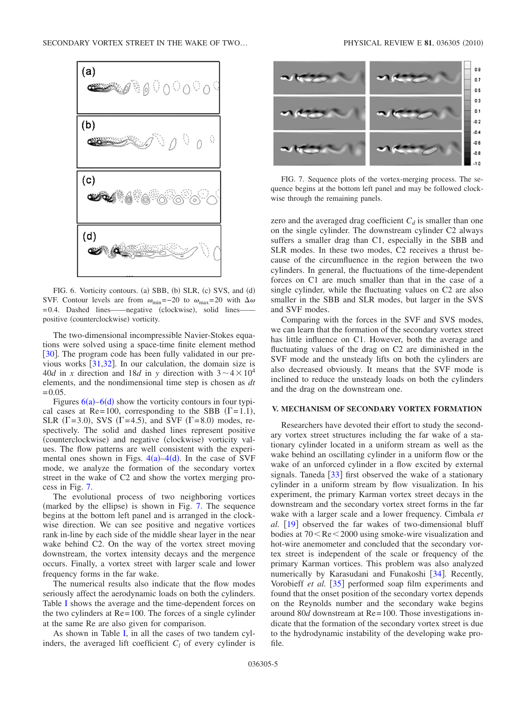<span id="page-4-1"></span>

FIG. 6. Vorticity contours. (a) SBB, (b) SLR, (c) SVS, and (d) SVF. Contour levels are from  $\omega_{\text{min}}$ =−20 to  $\omega_{\text{max}}$ =20 with  $\Delta \omega$ = 0.4. Dashed lines——negative (clockwise), solid lines— positive (counterclockwise) vorticity.

The two-dimensional incompressible Navier-Stokes equations were solved using a space-time finite element method [[30](#page-7-21)]. The program code has been fully validated in our previous works  $\left[31,32\right]$  $\left[31,32\right]$  $\left[31,32\right]$  $\left[31,32\right]$ . In our calculation, the domain size is 40*d* in *x* direction and 18*d* in *y* direction with  $3 \sim 4 \times 10^4$ elements, and the nondimensional time step is chosen as *dt*  $= 0.05.$ 

Figures  $6(a)$  $6(a)$ – $6(d)$  show the vorticity contours in four typical cases at Re=100, corresponding to the SBB  $(1)$ =1.1, SLR ( $\Gamma$ =3.0), SVS ( $\Gamma$ =4.5), and SVF ( $\Gamma$ =8.0) modes, respectively. The solid and dashed lines represent positive (counterclockwise) and negative (clockwise) vorticity values. The flow patterns are well consistent with the experimental ones shown in Figs.  $4(a) - 4(d)$  $4(a) - 4(d)$ . In the case of SVF mode, we analyze the formation of the secondary vortex street in the wake of C2 and show the vortex merging process in Fig. [7.](#page-4-2)

The evolutional process of two neighboring vortices (marked by the ellipse) is shown in Fig. [7.](#page-4-2) The sequence begins at the bottom left panel and is arranged in the clockwise direction. We can see positive and negative vortices rank in-line by each side of the middle shear layer in the near wake behind C2. On the way of the vortex street moving downstream, the vortex intensity decays and the mergence occurs. Finally, a vortex street with larger scale and lower frequency forms in the far wake.

The numerical results also indicate that the flow modes seriously affect the aerodynamic loads on both the cylinders. Table [I](#page-5-1) shows the average and the time-dependent forces on the two cylinders at Re= 100. The forces of a single cylinder at the same Re are also given for comparison.

As shown in Table [I,](#page-5-1) in all the cases of two tandem cylinders, the averaged lift coefficient  $C_l$  of every cylinder is

<span id="page-4-2"></span>

FIG. 7. Sequence plots of the vortex-merging process. The sequence begins at the bottom left panel and may be followed clockwise through the remaining panels.

zero and the averaged drag coefficient  $C_d$  is smaller than one on the single cylinder. The downstream cylinder C2 always suffers a smaller drag than C1, especially in the SBB and SLR modes. In these two modes, C2 receives a thrust because of the circumfluence in the region between the two cylinders. In general, the fluctuations of the time-dependent forces on C1 are much smaller than that in the case of a single cylinder, while the fluctuating values on C2 are also smaller in the SBB and SLR modes, but larger in the SVS and SVF modes.

Comparing with the forces in the SVF and SVS modes, we can learn that the formation of the secondary vortex street has little influence on C1. However, both the average and fluctuating values of the drag on C2 are diminished in the SVF mode and the unsteady lifts on both the cylinders are also decreased obviously. It means that the SVF mode is inclined to reduce the unsteady loads on both the cylinders and the drag on the downstream one.

#### <span id="page-4-0"></span>**V. MECHANISM OF SECONDARY VORTEX FORMATION**

Researchers have devoted their effort to study the secondary vortex street structures including the far wake of a stationary cylinder located in a uniform stream as well as the wake behind an oscillating cylinder in a uniform flow or the wake of an unforced cylinder in a flow excited by external signals. Taneda  $\lceil 33 \rceil$  $\lceil 33 \rceil$  $\lceil 33 \rceil$  first observed the wake of a stationary cylinder in a uniform stream by flow visualization. In his experiment, the primary Karman vortex street decays in the downstream and the secondary vortex street forms in the far wake with a larger scale and a lower frequency. Cimbala *et* al. [[19](#page-7-11)] observed the far wakes of two-dimensional bluff bodies at  $70<\text{Re}\leq 2000$  using smoke-wire visualization and hot-wire anemometer and concluded that the secondary vortex street is independent of the scale or frequency of the primary Karman vortices. This problem was also analyzed numerically by Karasudani and Funakoshi [[34](#page-8-3)]. Recently, Vorobieff *et al.* [[35](#page-8-4)] performed soap film experiments and found that the onset position of the secondary vortex depends on the Reynolds number and the secondary wake begins around 80*d* downstream at Re= 100. Those investigations indicate that the formation of the secondary vortex street is due to the hydrodynamic instability of the developing wake profile.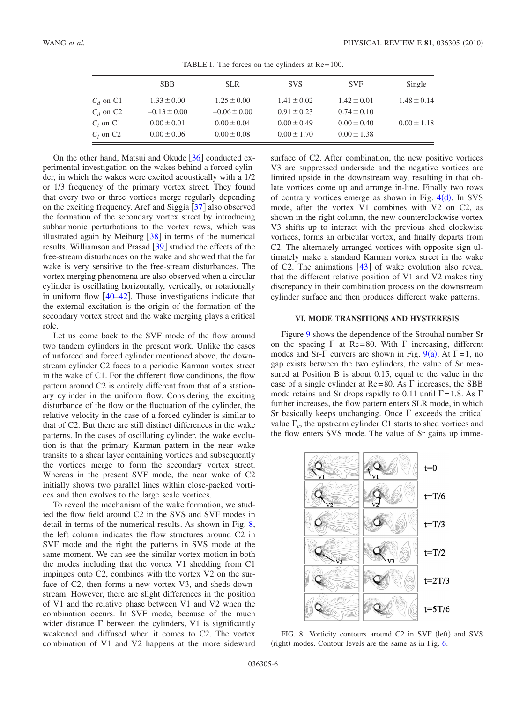<span id="page-5-1"></span>

|             | <b>SBB</b>       | <b>SLR</b>       | <b>SVS</b>      | <b>SVF</b>      | Single          |  |
|-------------|------------------|------------------|-----------------|-----------------|-----------------|--|
| $C_d$ on C1 | $1.33 \pm 0.00$  | $1.25 \pm 0.00$  | $1.41 \pm 0.02$ | $1.42 \pm 0.01$ | $1.48 \pm 0.14$ |  |
| $C_d$ on C2 | $-0.13 \pm 0.00$ | $-0.06 \pm 0.00$ | $0.91 \pm 0.23$ | $0.74 \pm 0.10$ |                 |  |
| $C_l$ on C1 | $0.00 \pm 0.01$  | $0.00 \pm 0.04$  | $0.00 \pm 0.49$ | $0.00 \pm 0.40$ | $0.00 \pm 1.18$ |  |
| $C_l$ on C2 | $0.00 \pm 0.06$  | $0.00 \pm 0.08$  | $0.00 \pm 1.70$ | $0.00 \pm 1.38$ |                 |  |

TABLE I. The forces on the cylinders at Re= 100.

On the other hand, Matsui and Okude  $\lceil 36 \rceil$  $\lceil 36 \rceil$  $\lceil 36 \rceil$  conducted experimental investigation on the wakes behind a forced cylinder, in which the wakes were excited acoustically with a 1/2 or 1/3 frequency of the primary vortex street. They found that every two or three vortices merge regularly depending on the exciting frequency. Aref and Siggia  $\lceil 37 \rceil$  $\lceil 37 \rceil$  $\lceil 37 \rceil$  also observed the formation of the secondary vortex street by introducing subharmonic perturbations to the vortex rows, which was illustrated again by Meiburg  $\lceil 38 \rceil$  $\lceil 38 \rceil$  $\lceil 38 \rceil$  in terms of the numerical results. Williamson and Prasad [[39](#page-8-8)] studied the effects of the free-stream disturbances on the wake and showed that the far wake is very sensitive to the free-stream disturbances. The vortex merging phenomena are also observed when a circular cylinder is oscillating horizontally, vertically, or rotationally in uniform flow  $[40-42]$  $[40-42]$  $[40-42]$ . Those investigations indicate that the external excitation is the origin of the formation of the secondary vortex street and the wake merging plays a critical role.

Let us come back to the SVF mode of the flow around two tandem cylinders in the present work. Unlike the cases of unforced and forced cylinder mentioned above, the downstream cylinder C2 faces to a periodic Karman vortex street in the wake of C1. For the different flow conditions, the flow pattern around C2 is entirely different from that of a stationary cylinder in the uniform flow. Considering the exciting disturbance of the flow or the fluctuation of the cylinder, the relative velocity in the case of a forced cylinder is similar to that of C2. But there are still distinct differences in the wake patterns. In the cases of oscillating cylinder, the wake evolution is that the primary Karman pattern in the near wake transits to a shear layer containing vortices and subsequently the vortices merge to form the secondary vortex street. Whereas in the present SVF mode, the near wake of C2 initially shows two parallel lines within close-packed vortices and then evolves to the large scale vortices.

To reveal the mechanism of the wake formation, we studied the flow field around C2 in the SVS and SVF modes in detail in terms of the numerical results. As shown in Fig. [8,](#page-5-2) the left column indicates the flow structures around C2 in SVF mode and the right the patterns in SVS mode at the same moment. We can see the similar vortex motion in both the modes including that the vortex V1 shedding from C1 impinges onto C2, combines with the vortex V2 on the surface of C2, then forms a new vortex V3, and sheds downstream. However, there are slight differences in the position of V1 and the relative phase between V1 and V2 when the combination occurs. In SVF mode, because of the much wider distance  $\Gamma$  between the cylinders, V1 is significantly weakened and diffused when it comes to C2. The vortex combination of V1 and V2 happens at the more sideward surface of C2. After combination, the new positive vortices V3 are suppressed underside and the negative vortices are limited upside in the downstream way, resulting in that oblate vortices come up and arrange in-line. Finally two rows of contrary vortices emerge as shown in Fig.  $4(d)$  $4(d)$ . In SVS mode, after the vortex V1 combines with V2 on C2, as shown in the right column, the new counterclockwise vortex V3 shifts up to interact with the previous shed clockwise vortices, forms an orbicular vortex, and finally departs from C2. The alternately arranged vortices with opposite sign ultimately make a standard Karman vortex street in the wake of C2. The animations  $[43]$  $[43]$  $[43]$  of wake evolution also reveal that the different relative position of V1 and V2 makes tiny discrepancy in their combination process on the downstream cylinder surface and then produces different wake patterns.

#### **VI. MODE TRANSITIONS AND HYSTERESIS**

<span id="page-5-0"></span>Figure [9](#page-6-0) shows the dependence of the Strouhal number Sr on the spacing  $\Gamma$  at Re=80. With  $\Gamma$  increasing, different modes and Sr- $\Gamma$  curvers are shown in Fig. [9](#page-6-0)(a). At  $\Gamma$  = 1, no gap exists between the two cylinders, the value of Sr measured at Position B is about 0.15, equal to the value in the case of a single cylinder at  $Re = 80$ . As  $\Gamma$  increases, the SBB mode retains and Sr drops rapidly to 0.11 until  $\Gamma$  = 1.8. As  $\Gamma$ further increases, the flow pattern enters SLR mode, in which Sr basically keeps unchanging. Once  $\Gamma$  exceeds the critical value  $\Gamma_c$ , the upstream cylinder C1 starts to shed vortices and the flow enters SVS mode. The value of Sr gains up imme-

<span id="page-5-2"></span>

FIG. 8. Vorticity contours around C2 in SVF (left) and SVS (right) modes. Contour levels are the same as in Fig. [6.](#page-4-1)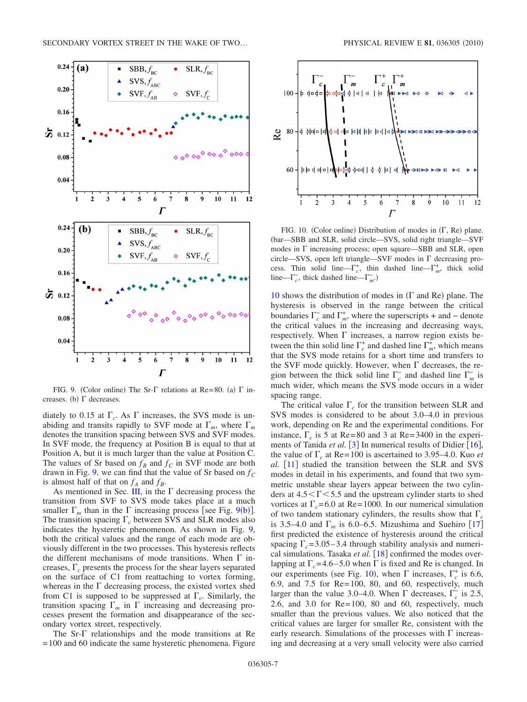<span id="page-6-0"></span>

FIG. 9. (Color online) The Sr- $\Gamma$  relations at Re=80. (a)  $\Gamma$  increases. (b)  $\Gamma$  decreases.

diately to 0.15 at  $\Gamma_c$ . As  $\Gamma$  increases, the SVS mode is unabiding and transits rapidly to SVF mode at  $\Gamma_m$ , where  $\Gamma_m$ denotes the transition spacing between SVS and SVF modes. In SVF mode, the frequency at Position B is equal to that at Position A, but it is much larger than the value at Position C. The values of Sr based on  $f_B$  and  $f_C$  in SVF mode are both drawn in Fig. [9,](#page-6-0) we can find that the value of Sr based on  $f_C$ is almost half of that on  $f_A$  and  $f_B$ .

As mentioned in Sec.  $\overline{III}$ , in the  $\Gamma$  decreasing process the transition from SVF to SVS mode takes place at a much smaller  $\Gamma_m$  than in the  $\Gamma$  increasing process [see Fig. [9](#page-6-0)(b)]. The transition spacing  $\Gamma_c$  between SVS and SLR modes also indicates the hysteretic phenomenon. As shown in Fig. [9,](#page-6-0) both the critical values and the range of each mode are obviously different in the two processes. This hysteresis reflects the different mechanisms of mode transitions. When  $\Gamma$  increases,  $\Gamma_c$  presents the process for the shear layers separated on the surface of C1 from reattaching to vortex forming, whereas in the  $\Gamma$  decreasing process, the existed vortex shed from C1 is supposed to be suppressed at  $\Gamma_c$ . Similarly, the transition spacing  $\Gamma_m$  in  $\Gamma$  increasing and decreasing processes present the formation and disappearance of the secondary vortex street, respectively.

The  $Sr-\Gamma$  relationships and the mode transitions at Re = 100 and 60 indicate the same hysteretic phenomena. Figure

<span id="page-6-1"></span>

FIG. 10. (Color online) Distribution of modes in  $(\Gamma, Re)$  plane. bar—SBB and SLR, solid circle—SVS, solid right triangle—SVF modes in  $\Gamma$  increasing process; open square—SBB and SLR, open circle—SVS, open left triangle—SVF modes in  $\Gamma$  decreasing process. Thin solid line— $\Gamma_c^+$ , thin dashed line— $\Gamma_m^+$ , thick solid line— $\Gamma_c^-$ , thick dashed line— $\Gamma_m^-$ .)

[10](#page-6-1) shows the distribution of modes in  $(\Gamma$  and Re) plane. The hysteresis is observed in the range between the critical boundaries  $\Gamma_c^-$  and  $\Gamma_m^+$ , where the superscripts + and – denote the critical values in the increasing and decreasing ways, respectively. When  $\Gamma$  increases, a narrow region exists between the thin solid line  $\Gamma_c^+$  and dashed line  $\Gamma_m^+$ , which means that the SVS mode retains for a short time and transfers to the SVF mode quickly. However, when  $\Gamma$  decreases, the region between the thick solid line  $\Gamma_c^-$  and dashed line  $\Gamma_m^-$  is much wider, which means the SVS mode occurs in a wider spacing range.

The critical value  $\Gamma_c$  for the transition between SLR and SVS modes is considered to be about 3.0–4.0 in previous work, depending on Re and the experimental conditions. For instance,  $\Gamma_c$  is 5 at Re=80 and 3 at Re=3400 in the experiments of Tanida *et al.*  $\lceil 3 \rceil$  $\lceil 3 \rceil$  $\lceil 3 \rceil$  In numerical results of Didier  $\lceil 16 \rceil$  $\lceil 16 \rceil$  $\lceil 16 \rceil$ , the value of  $\Gamma_c$  at Re=100 is ascertained to 3.95–4.0. Kuo *et al.* [[11](#page-7-6)] studied the transition between the SLR and SVS modes in detail in his experiments, and found that two symmetric unstable shear layers appear between the two cylinders at  $4.5<\Gamma<5.5$  and the upstream cylinder starts to shed vortices at  $\Gamma_c$ = 6.0 at Re= 1000. In our numerical simulation of two tandem stationary cylinders, the results show that  $\Gamma_c$ is 3.5–4.0 and  $\Gamma_m$  is 6.0–6.5. Mizushima and Suehiro [[17](#page-7-9)] first predicted the existence of hysteresis around the critical spacing  $\Gamma_c = 3.05 - 3.4$  through stability analysis and numerical simulations. Tasaka *et al.* [[18](#page-7-10)] confirmed the modes overlapping at  $\Gamma_c$ = 4.6–5.0 when  $\Gamma$  is fixed and Re is changed. In our experiments (see Fig. [10](#page-6-1)), when  $\Gamma$  increases,  $\Gamma_c^+$  is 6.6, 6.9, and 7.5 for Re= 100, 80, and 60, respectively, much larger than the value 3.0–4.0. When  $\Gamma$  decreases,  $\Gamma_c^-$  is 2.5, 2.6, and 3.0 for Re= 100, 80 and 60, respectively, much smaller than the previous values. We also noticed that the critical values are larger for smaller Re, consistent with the early research. Simulations of the processes with  $\Gamma$  increasing and decreasing at a very small velocity were also carried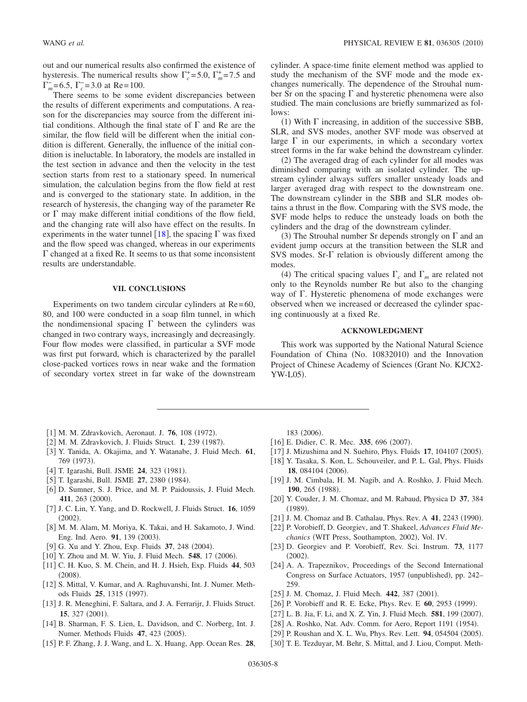out and our numerical results also confirmed the existence of hysteresis. The numerical results show  $\Gamma_c^+$  = 5.0,  $\Gamma_m^+$  = 7.5 and  $\Gamma_m^-$ =6.5,  $\Gamma_c^-$ =3.0 at Re=100.

There seems to be some evident discrepancies between the results of different experiments and computations. A reason for the discrepancies may source from the different initial conditions. Although the final state of  $\Gamma$  and Re are the similar, the flow field will be different when the initial condition is different. Generally, the influence of the initial condition is ineluctable. In laboratory, the models are installed in the test section in advance and then the velocity in the test section starts from rest to a stationary speed. In numerical simulation, the calculation begins from the flow field at rest and is converged to the stationary state. In addition, in the research of hysteresis, the changing way of the parameter Re or  $\Gamma$  may make different initial conditions of the flow field, and the changing rate will also have effect on the results. In experiments in the water tunnel  $\lceil 18 \rceil$  $\lceil 18 \rceil$  $\lceil 18 \rceil$ , the spacing  $\Gamma$  was fixed and the flow speed was changed, whereas in our experiments  $\Gamma$  changed at a fixed Re. It seems to us that some inconsistent results are understandable.

## **VII. CONCLUSIONS**

Experiments on two tandem circular cylinders at  $Re = 60$ , 80, and 100 were conducted in a soap film tunnel, in which the nondimensional spacing  $\Gamma$  between the cylinders was changed in two contrary ways, increasingly and decreasingly. Four flow modes were classified, in particular a SVF mode was first put forward, which is characterized by the parallel close-packed vortices rows in near wake and the formation of secondary vortex street in far wake of the downstream cylinder. A space-time finite element method was applied to study the mechanism of the SVF mode and the mode exchanges numerically. The dependence of the Strouhal number Sr on the spacing  $\Gamma$  and hysteretic phenomena were also studied. The main conclusions are briefly summarized as follows:

(1) With  $\Gamma$  increasing, in addition of the successive SBB, SLR, and SVS modes, another SVF mode was observed at large  $\Gamma$  in our experiments, in which a secondary vortex street forms in the far wake behind the downstream cylinder.

(2) The averaged drag of each cylinder for all modes was diminished comparing with an isolated cylinder. The upstream cylinder always suffers smaller unsteady loads and larger averaged drag with respect to the downstream one. The downstream cylinder in the SBB and SLR modes obtains a thrust in the flow. Comparing with the SVS mode, the SVF mode helps to reduce the unsteady loads on both the cylinders and the drag of the downstream cylinder.

(3) The Strouhal number Sr depends strongly on  $\Gamma$  and an evident jump occurs at the transition between the SLR and SVS modes. Sr- $\Gamma$  relation is obviously different among the modes.

(4) The critical spacing values  $\Gamma_c$  and  $\Gamma_m$  are related not only to the Reynolds number Re but also to the changing way of  $\Gamma$ . Hysteretic phenomena of mode exchanges were observed when we increased or decreased the cylinder spacing continuously at a fixed Re.

### **ACKNOWLEDGMENT**

This work was supported by the National Natural Science Foundation of China (No. 10832010) and the Innovation Project of Chinese Academy of Sciences Grant No. KJCX2- YW-L05).

- <span id="page-7-0"></span>[1] M. M. Zdravkovich, Aeronaut. J. 76, 108 (1972).
- <span id="page-7-1"></span>[2] M. M. Zdravkovich, J. Fluids Struct. 1, 239 (1987).
- <span id="page-7-2"></span>3 Y. Tanida, A. Okajima, and Y. Watanabe, J. Fluid Mech. **61**, 769 (1973).
- <span id="page-7-3"></span>[4] T. Igarashi, Bull. JSME 24, 323 (1981).
- <span id="page-7-4"></span>[5] T. Igarashi, Bull. JSME 27, 2380 (1984).
- <span id="page-7-5"></span>[6] D. Sumner, S. J. Price, and M. P. Paidoussis, J. Fluid Mech. **411**, 263 (2000).
- 7 J. C. Lin, Y. Yang, and D. Rockwell, J. Fluids Struct. **16**, 1059  $(2002).$
- [8] M. M. Alam, M. Moriya, K. Takai, and H. Sakamoto, J. Wind. Eng. Ind. Aero. 91, 139 (2003).
- [9] G. Xu and Y. Zhou, Exp. Fluids 37, 248 (2004).
- [10] Y. Zhou and M. W. Yiu, J. Fluid Mech. 548, 17 (2006).
- <span id="page-7-6"></span>11 C. H. Kuo, S. M. Chein, and H. J. Hsieh, Exp. Fluids **44**, 503  $(2008).$
- <span id="page-7-7"></span>[12] S. Mittal, V. Kumar, and A. Raghuvanshi, Int. J. Numer. Methods Fluids 25, 1315 (1997).
- [13] J. R. Meneghini, F. Saltara, and J. A. Ferrarijr, J. Fluids Struct. **15**, 327 (2001).
- [14] B. Sharman, F. S. Lien, L. Davidson, and C. Norberg, Int. J. Numer. Methods Fluids 47, 423 (2005).
- 15 P. F. Zhang, J. J. Wang, and L. X. Huang, App. Ocean Res. **28**,

183 (2006).

- <span id="page-7-8"></span>[16] E. Didier, C. R. Mec. 335, 696 (2007).
- <span id="page-7-9"></span>[17] J. Mizushima and N. Suehiro, Phys. Fluids 17, 104107 (2005).
- <span id="page-7-10"></span>[18] Y. Tasaka, S. Kon, L. Schouveiler, and P. L. Gal, Phys. Fluids 18, 084104 (2006).
- <span id="page-7-11"></span>[19] J. M. Cimbala, H. M. Nagib, and A. Roshko, J. Fluid Mech. 190, 265 (1988).
- <span id="page-7-12"></span>20 Y. Couder, J. M. Chomaz, and M. Rabaud, Physica D **37**, 384  $(1989).$
- [21] J. M. Chomaz and B. Cathalau, Phys. Rev. A 41, 2243 (1990).
- <span id="page-7-13"></span>22 P. Vorobieff, D. Georgiev, and T. Shakeel, *Advances Fluid Me*chanics (WIT Press, Southampton, 2002), Vol. IV.
- <span id="page-7-14"></span>23 D. Georgiev and P. Vorobieff, Rev. Sci. Instrum. **73**, 1177  $(2002).$
- <span id="page-7-15"></span>[24] A. A. Trapeznikov, Proceedings of the Second International Congress on Surface Actuators, 1957 (unpublished), pp. 242-259.
- <span id="page-7-16"></span>[25] J. M. Chomaz, J. Fluid Mech. 442, 387 (2001).
- <span id="page-7-17"></span>[26] P. Vorobieff and R. E. Ecke, Phys. Rev. E 60, 2953 (1999).
- <span id="page-7-18"></span>[27] L. B. Jia, F. Li, and X. Z. Yin, J. Fluid Mech. **581**, 199 (2007).
- <span id="page-7-19"></span>[28] A. Roshko, Nat. Adv. Comm. for Aero, Report 1191 (1954).
- <span id="page-7-20"></span>[29] P. Roushan and X. L. Wu, Phys. Rev. Lett. **94**, 054504 (2005).
- <span id="page-7-21"></span>[30] T. E. Tezduyar, M. Behr, S. Mittal, and J. Liou, Comput. Meth-